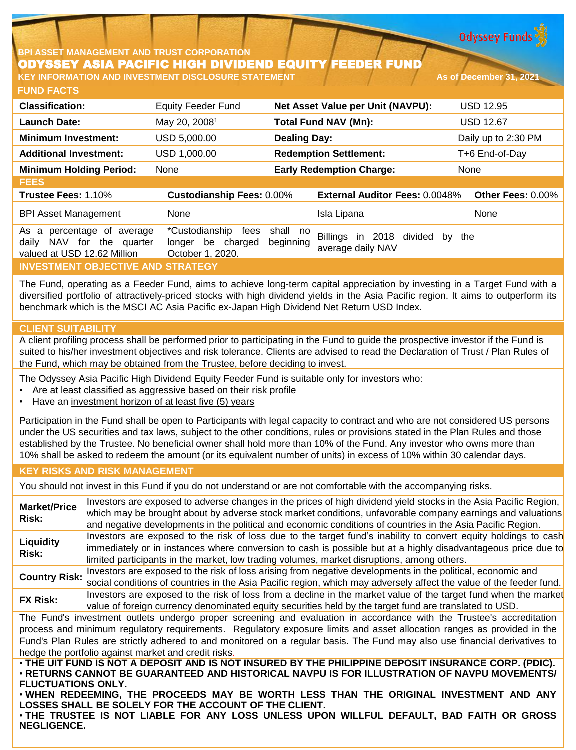**Odyssey Funds** 

# **BPI ASSET MANAGEMENT AND TRUST CORPORATION** ODYSSEY ASIA PACIFIC HIGH DIVIDEND EQUITY FEEDER FUND

**FUND FACTS KEY INFORMATION AND INVESTMENT DISCLOSURE STATEMENT And As of December 31, 2021** 

| <b>Classification:</b>                                                                          | <b>Equity Feeder Fund</b>                                       |                       | Net Asset Value per Unit (NAVPU):                                | <b>USD 12.95</b>    |
|-------------------------------------------------------------------------------------------------|-----------------------------------------------------------------|-----------------------|------------------------------------------------------------------|---------------------|
| <b>Launch Date:</b>                                                                             | May 20, 2008 <sup>1</sup>                                       |                       | <b>Total Fund NAV (Mn):</b>                                      | <b>USD 12.67</b>    |
| <b>Minimum Investment:</b>                                                                      | USD 5,000.00                                                    | <b>Dealing Day:</b>   |                                                                  | Daily up to 2:30 PM |
| <b>Additional Investment:</b>                                                                   | USD 1,000.00                                                    |                       | <b>Redemption Settlement:</b>                                    | T+6 End-of-Day      |
| <b>Minimum Holding Period:</b>                                                                  | None                                                            |                       | <b>Early Redemption Charge:</b>                                  | None                |
| <b>FEES</b>                                                                                     |                                                                 |                       |                                                                  |                     |
| Trustee Fees: 1.10%                                                                             | <b>Custodianship Fees: 0.00%</b>                                |                       | <b>External Auditor Fees: 0.0048%</b>                            | Other Fees: 0.00%   |
| <b>BPI Asset Management</b>                                                                     | None                                                            |                       | Isla Lipana                                                      | None                |
| percentage of average<br>As<br>a<br>NAV for the quarter<br>daily<br>valued at USD 12.62 Million | *Custodianship<br>fees<br>longer be charged<br>October 1, 2020. | shall no<br>beginning | <b>Billings</b><br>2018 divided<br>in<br>by<br>average daily NAV | the                 |
| <b>INVESTMENT OBJECTIVE AND STRATEGY</b>                                                        |                                                                 |                       |                                                                  |                     |

The Fund, operating as a Feeder Fund, aims to achieve long-term capital appreciation by investing in a Target Fund with a diversified portfolio of attractively-priced stocks with high dividend yields in the Asia Pacific region. It aims to outperform its benchmark which is the MSCI AC Asia Pacific ex-Japan High Dividend Net Return USD Index.

# **CLIENT SUITABILITY**

A client profiling process shall be performed prior to participating in the Fund to guide the prospective investor if the Fund is suited to his/her investment objectives and risk tolerance. Clients are advised to read the Declaration of Trust / Plan Rules of the Fund, which may be obtained from the Trustee, before deciding to invest.

The Odyssey Asia Pacific High Dividend Equity Feeder Fund is suitable only for investors who:

- Are at least classified as aggressive based on their risk profile
- Have an investment horizon of at least five (5) years

Participation in the Fund shall be open to Participants with legal capacity to contract and who are not considered US persons under the US securities and tax laws, subject to the other conditions, rules or provisions stated in the Plan Rules and those established by the Trustee. No beneficial owner shall hold more than 10% of the Fund. Any investor who owns more than 10% shall be asked to redeem the amount (or its equivalent number of units) in excess of 10% within 30 calendar days.

# **KEY RISKS AND RISK MANAGEMENT**

You should not invest in this Fund if you do not understand or are not comfortable with the accompanying risks.

**Market/Price Risk:** Investors are exposed to adverse changes in the prices of high dividend yield stocks in the Asia Pacific Region, which may be brought about by adverse stock market conditions, unfavorable company earnings and valuations and negative developments in the political and economic conditions of countries in the Asia Pacific Region. **Liquidity Risk:** Investors are exposed to the risk of loss due to the target fund's inability to convert equity holdings to cash immediately or in instances where conversion to cash is possible but at a highly disadvantageous price due to limited participants in the market, low trading volumes, market disruptions, among others. **Country Risk:** Investors are exposed to the risk of loss arising from negative developments in the political, economic and social conditions of countries in the Asia Pacific region, which may adversely affect the value of the feeder fund. **FX Risk:** Investors are exposed to the risk of loss from <sup>a</sup> decline in the market value of the target fund when the market value of foreign currency denominated equity securities held by the target fund are translated to USD. The Fund's investment outlets undergo proper screening and evaluation in accordance with the Trustee's accreditation process and minimum regulatory requirements. Regulatory exposure limits and asset allocation ranges as provided in the Fund's Plan Rules are strictly adhered to and monitored on a regular basis. The Fund may also use financial derivatives to hedge the portfolio against market and credit risks. . THE UIT FUND IS NOT A DEPOSIT AND IS NOT INSURED BY THE PHILIPPINE DEPOSIT INSURANCE CORP. (PDIC). • **RETURNS CANNOT BE GUARANTEED AND HISTORICAL NAVPU IS FOR ILLUSTRATION OF NAVPU MOVEMENTS/ FLUCTUATIONS ONLY.**

• **WHEN REDEEMING, THE PROCEEDS MAY BE WORTH LESS THAN THE ORIGINAL INVESTMENT AND ANY LOSSES SHALL BE SOLELY FOR THE ACCOUNT OF THE CLIENT.**

• **THE TRUSTEE IS NOT LIABLE FOR ANY LOSS UNLESS UPON WILLFUL DEFAULT, BAD FAITH OR GROSS NEGLIGENCE.**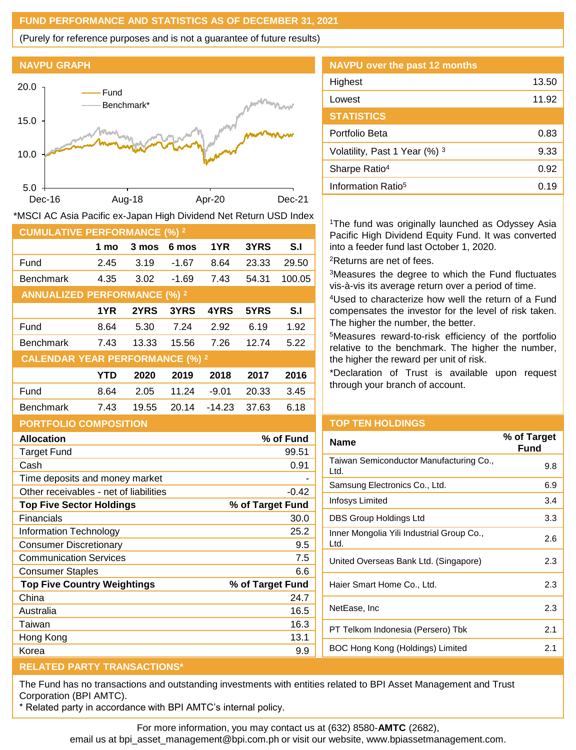## **FUND PERFORMANCE AND STATISTICS AS OF DECEMBER 31, 2021**

(Purely for reference purposes and is not a guarantee of future results)





| Dec-16                                                           |      | Aug-18 | Apr-20  |          | Dec-21 |        |
|------------------------------------------------------------------|------|--------|---------|----------|--------|--------|
| MSCI AC Asia Pacific ex-Japan High Dividend Net Return USD Index |      |        |         |          |        |        |
| <b>CUMULATIVE PERFORMANCE (%) 2</b>                              |      |        |         |          |        |        |
|                                                                  | 1 mo | 3 mos  | 6 mos   | 1YR      | 3YRS   | S.I    |
| Fund                                                             | 2.45 | 3.19   | $-1.67$ | 8.64     | 23.33  | 29.50  |
| Benchmark                                                        | 4.35 | 3.02   | $-1.69$ | 7.43     | 54.31  | 100.05 |
| <b>ANNUALIZED PERFORMANCE (%) 2</b>                              |      |        |         |          |        |        |
|                                                                  | 1YR  | 2YRS   | 3YRS    | 4YRS     | 5YRS   | S.I    |
| Fund                                                             | 8.64 | 5.30   | 7.24    | 2.92     | 6.19   | 1.92   |
| Benchmark                                                        | 7.43 | 13.33  | 15.56   | 7.26     | 12.74  | 5.22   |
| <b>CALENDAR YEAR PERFORMANCE (%) 2</b>                           |      |        |         |          |        |        |
|                                                                  | YTD  | 2020   | 2019    | 2018     | 2017   | 2016   |
| Fund                                                             | 8.64 | 2.05   | 11.24   | $-9.01$  | 20.33  | 3.45   |
| <b>Benchmark</b>                                                 | 7.43 | 19.55  | 20.14   | $-14.23$ | 37.63  | 6.18   |
| <b>PORTFOLIO COMPOSITION</b>                                     |      |        |         |          |        |        |

| <b>NAVPU over the past 12 months</b> |       |
|--------------------------------------|-------|
| Highest                              | 13.50 |
| Lowest                               | 11.92 |
| <b>STATISTICS</b>                    |       |
| Portfolio Beta                       | 0.83  |
| Volatility, Past 1 Year (%) 3        | 9.33  |
| Sharpe Ratio <sup>4</sup>            | 0.92  |
| Information Ratio <sup>5</sup>       | 0.19  |

The fund was originally launched as Odyssey Asia acific High Dividend Equity Fund. It was converted nto a feeder fund last October 1, 2020. <sup>2</sup>Returns are net of fees.

Measures the degree to which the Fund fluctuates is-à-vis its average return over a period of time.

<sup>4</sup>Used to characterize how well the return of a Fund compensates the investor for the level of risk taken. he higher the number, the better.

Measures reward-to-risk efficiency of the portfolio elative to the benchmark. The higher the number, he higher the reward per unit of risk.

Declaration of Trust is available upon request hrough your branch of account.

| <b>Allocation</b>  | % of Fund |
|--------------------|-----------|
| <b>Target Fund</b> | 99.51     |
| Cash               |           |

| Cash                                   | 0.91             |
|----------------------------------------|------------------|
| Time deposits and money market         |                  |
| Other receivables - net of liabilities | -0.42            |
| <b>Top Five Sector Holdings</b>        | % of Target Fund |
| Financials                             | 30.0             |
| Information Technology                 | 25.2             |
| <b>Consumer Discretionary</b>          | 9.5              |
| <b>Communication Services</b>          | 7.5              |
| <b>Consumer Staples</b>                | 6.6              |
| <b>Top Five Country Weightings</b>     | % of Target Fund |
| China                                  | 24.7             |
| Australia                              | 16.5             |
| Taiwan                                 | 16.3             |
| Hong Kong                              | 13.1             |
| Korea                                  | 9.9              |

### **OP TEN HOLDINGS**

| Name                                              | % of Target<br><b>Fund</b> |
|---------------------------------------------------|----------------------------|
| Taiwan Semiconductor Manufacturing Co.,<br>Ltd.   | 9.8                        |
| Samsung Electronics Co., Ltd.                     | 6.9                        |
| Infosys Limited                                   | 3.4                        |
| DBS Group Holdings Ltd                            | 3.3                        |
| Inner Mongolia Yili Industrial Group Co.,<br>Ltd. | 2.6                        |
| United Overseas Bank Ltd. (Singapore)             | 2.3                        |
| Haier Smart Home Co., Ltd.                        | 2.3                        |
| NetEase, Inc                                      | 2.3                        |
| PT Telkom Indonesia (Persero) Tbk                 | 2.1                        |
| BOC Hong Kong (Holdings) Limited                  | 2.1                        |
|                                                   |                            |

# **RELATED PARTY TRANSACTIONS\***

The Fund has no transactions and outstanding investments with entities related to BPI Asset Management and Trust Corporation (BPI AMTC).

\* Related party in accordance with BPI AMTC's internal policy.

For more information, you may contact us at (632) 8580-**AMTC** (2682),

email us at bpi\_asset\_management@bpi.com.ph or visit our website, www.bpiassetmanagement.com.